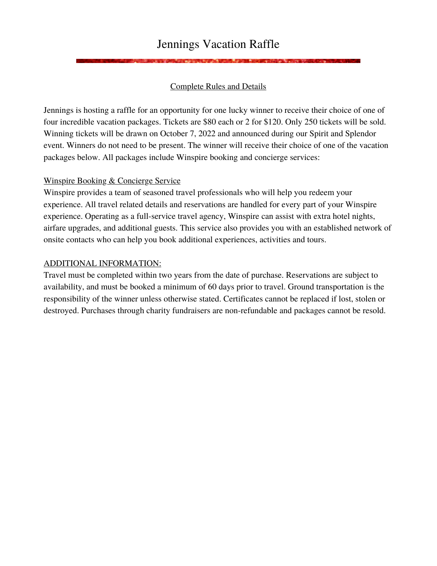# Jennings Vacation Raffle

# Complete Rules and Details

Jennings is hosting a raffle for an opportunity for one lucky winner to receive their choice of one of four incredible vacation packages. Tickets are \$80 each or 2 for \$120. Only 250 tickets will be sold. Winning tickets will be drawn on October 7, 2022 and announced during our Spirit and Splendor event. Winners do not need to be present. The winner will receive their choice of one of the vacation packages below. All packages include Winspire booking and concierge services:

### Winspire Booking & Concierge Service

Winspire provides a team of seasoned travel professionals who will help you redeem your experience. All travel related details and reservations are handled for every part of your Winspire experience. Operating as a full-service travel agency, Winspire can assist with extra hotel nights, airfare upgrades, and additional guests. This service also provides you with an established network of onsite contacts who can help you book additional experiences, activities and tours.

### ADDITIONAL INFORMATION:

Travel must be completed within two years from the date of purchase. Reservations are subject to availability, and must be booked a minimum of 60 days prior to travel. Ground transportation is the responsibility of the winner unless otherwise stated. Certificates cannot be replaced if lost, stolen or destroyed. Purchases through charity fundraisers are non-refundable and packages cannot be resold.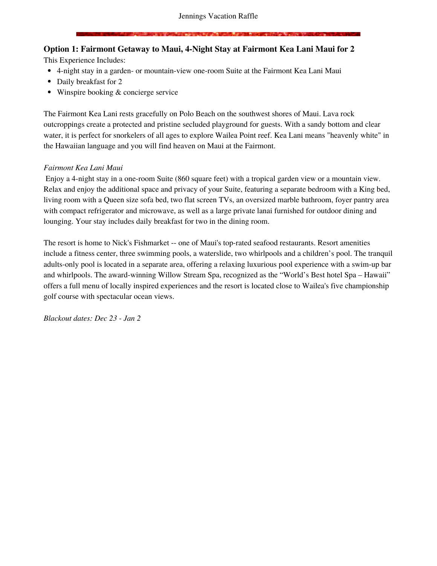# **Option 1: Fairmont Getaway to Maui, 4-Night Stay at Fairmont Kea Lani Maui for 2**

This Experience Includes:

- 4-night stay in a garden- or mountain-view one-room Suite at the Fairmont Kea Lani Maui
- Daily breakfast for 2
- Winspire booking & concierge service

The Fairmont Kea Lani rests gracefully on Polo Beach on the southwest shores of Maui. Lava rock outcroppings create a protected and pristine secluded playground for guests. With a sandy bottom and clear water, it is perfect for snorkelers of all ages to explore Wailea Point reef. Kea Lani means "heavenly white" in the Hawaiian language and you will find heaven on Maui at the Fairmont.

### *Fairmont Kea Lani Maui*

Enjoy a 4-night stay in a one-room Suite (860 square feet) with a tropical garden view or a mountain view. Relax and enjoy the additional space and privacy of your Suite, featuring a separate bedroom with a King bed, living room with a Queen size sofa bed, two flat screen TVs, an oversized marble bathroom, foyer pantry area with compact refrigerator and microwave, as well as a large private lanai furnished for outdoor dining and lounging. Your stay includes daily breakfast for two in the dining room.

The resort is home to Nick's Fishmarket -- one of Maui's top-rated seafood restaurants. Resort amenities include a fitness center, three swimming pools, a waterslide, two whirlpools and a children's pool. The tranquil adults-only pool is located in a separate area, offering a relaxing luxurious pool experience with a swim-up bar and whirlpools. The award-winning Willow Stream Spa, recognized as the "World's Best hotel Spa – Hawaii" offers a full menu of locally inspired experiences and the resort is located close to Wailea's five championship golf course with spectacular ocean views.

*Blackout dates: Dec 23 - Jan 2*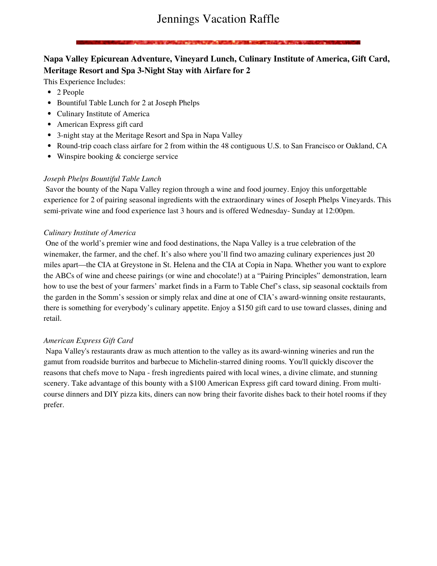# **Napa Valley Epicurean Adventure, Vineyard Lunch, Culinary Institute of America, Gift Card, Meritage Resort and Spa 3-Night Stay with Airfare for 2**

This Experience Includes:

- 2 People
- Bountiful Table Lunch for 2 at Joseph Phelps
- Culinary Institute of America
- American Express gift card
- 3-night stay at the Meritage Resort and Spa in Napa Valley
- Round-trip coach class airfare for 2 from within the 48 contiguous U.S. to San Francisco or Oakland, CA
- Winspire booking & concierge service

### *Joseph Phelps Bountiful Table Lunch*

Savor the bounty of the Napa Valley region through a wine and food journey. Enjoy this unforgettable experience for 2 of pairing seasonal ingredients with the extraordinary wines of Joseph Phelps Vineyards. This semi-private wine and food experience last 3 hours and is offered Wednesday- Sunday at 12:00pm.

### *Culinary Institute of America*

One of the world's premier wine and food destinations, the Napa Valley is a true celebration of the winemaker, the farmer, and the chef. It's also where you'll find two amazing culinary experiences just 20 miles apart—the CIA at Greystone in St. Helena and the CIA at Copia in Napa. Whether you want to explore the ABCs of wine and cheese pairings (or wine and chocolate!) at a "Pairing Principles" demonstration, learn how to use the best of your farmers' market finds in a Farm to Table Chef's class, sip seasonal cocktails from the garden in the Somm's session or simply relax and dine at one of CIA's award-winning onsite restaurants, there is something for everybody's culinary appetite. Enjoy a \$150 gift card to use toward classes, dining and retail.

### *American Express Gift Card*

Napa Valley's restaurants draw as much attention to the valley as its award-winning wineries and run the gamut from roadside burritos and barbecue to Michelin-starred dining rooms. You'll quickly discover the reasons that chefs move to Napa - fresh ingredients paired with local wines, a divine climate, and stunning scenery. Take advantage of this bounty with a \$100 American Express gift card toward dining. From multicourse dinners and DIY pizza kits, diners can now bring their favorite dishes back to their hotel rooms if they prefer.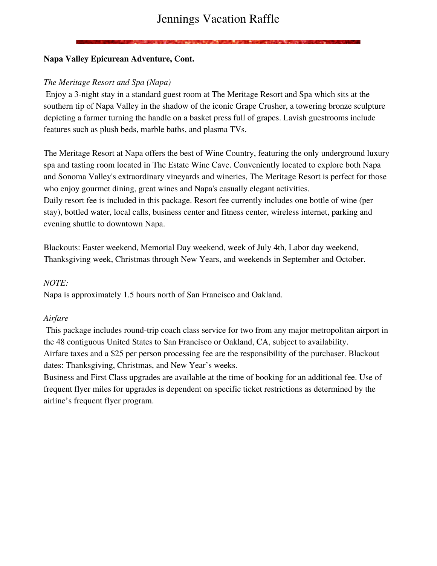# Jennings Vacation Raffle

### **Napa Valley Epicurean Adventure, Cont.**

### *The Meritage Resort and Spa (Napa)*

Enjoy a 3-night stay in a standard guest room at The Meritage Resort and Spa which sits at the southern tip of Napa Valley in the shadow of the iconic Grape Crusher, a towering bronze sculpture depicting a farmer turning the handle on a basket press full of grapes. Lavish guestrooms include features such as plush beds, marble baths, and plasma TVs.

The Meritage Resort at Napa offers the best of Wine Country, featuring the only underground luxury spa and tasting room located in The Estate Wine Cave. Conveniently located to explore both Napa and Sonoma Valley's extraordinary vineyards and wineries, The Meritage Resort is perfect for those who enjoy gourmet dining, great wines and Napa's casually elegant activities. Daily resort fee is included in this package. Resort fee currently includes one bottle of wine (per stay), bottled water, local calls, business center and fitness center, wireless internet, parking and evening shuttle to downtown Napa.

Blackouts: Easter weekend, Memorial Day weekend, week of July 4th, Labor day weekend, Thanksgiving week, Christmas through New Years, and weekends in September and October.

### *NOTE:*

Napa is approximately 1.5 hours north of San Francisco and Oakland.

### *Airfare*

This package includes round-trip coach class service for two from any major metropolitan airport in the 48 contiguous United States to San Francisco or Oakland, CA, subject to availability. Airfare taxes and a \$25 per person processing fee are the responsibility of the purchaser. Blackout dates: Thanksgiving, Christmas, and New Year's weeks.

Business and First Class upgrades are available at the time of booking for an additional fee. Use of frequent flyer miles for upgrades is dependent on specific ticket restrictions as determined by the airline's frequent flyer program.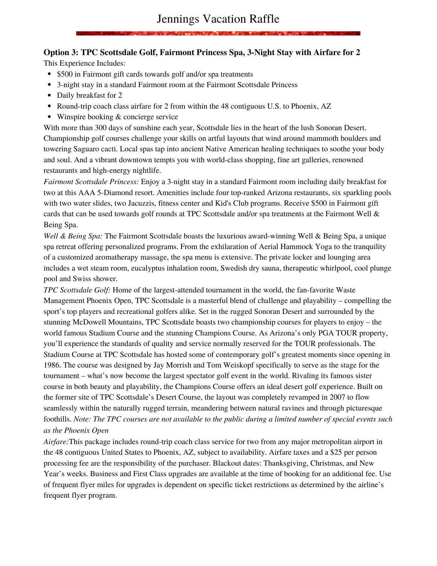### **Option 3: TPC Scottsdale Golf, Fairmont Princess Spa, 3-Night Stay with Airfare for 2**

This Experience Includes:

- \$500 in Fairmont gift cards towards golf and/or spa treatments
- 3-night stay in a standard Fairmont room at the Fairmont Scottsdale Princess
- Daily breakfast for 2
- Round-trip coach class airfare for 2 from within the 48 contiguous U.S. to Phoenix, AZ
- Winspire booking & concierge service

With more than 300 days of sunshine each year, Scottsdale lies in the heart of the lush Sonoran Desert. Championship golf courses challenge your skills on artful layouts that wind around mammoth boulders and towering Saguaro cacti. Local spas tap into ancient Native American healing techniques to soothe your body and soul. And a vibrant downtown tempts you with world-class shopping, fine art galleries, renowned restaurants and high-energy nightlife.

*Fairmont Scottsdale Princess:* Enjoy a 3-night stay in a standard Fairmont room including daily breakfast for two at this AAA 5-Diamond resort. Amenities include four top-ranked Arizona restaurants, six sparkling pools with two water slides, two Jacuzzis, fitness center and Kid's Club programs. Receive \$500 in Fairmont gift cards that can be used towards golf rounds at TPC Scottsdale and/or spa treatments at the Fairmont Well & Being Spa.

*Well & Being Spa:* The Fairmont Scottsdale boasts the luxurious award-winning Well & Being Spa, a unique spa retreat offering personalized programs. From the exhilaration of Aerial Hammock Yoga to the tranquility of a customized aromatherapy massage, the spa menu is extensive. The private locker and lounging area includes a wet steam room, eucalyptus inhalation room, Swedish dry sauna, therapeutic whirlpool, cool plunge pool and Swiss shower.

*TPC Scottsdale Golf:* Home of the largest-attended tournament in the world, the fan-favorite Waste Management Phoenix Open, TPC Scottsdale is a masterful blend of challenge and playability – compelling the sport's top players and recreational golfers alike. Set in the rugged Sonoran Desert and surrounded by the stunning McDowell Mountains, TPC Scottsdale boasts two championship courses for players to enjoy – the world famous Stadium Course and the stunning Champions Course. As Arizona's only PGA TOUR property, you'll experience the standards of quality and service normally reserved for the TOUR professionals. The Stadium Course at TPC Scottsdale has hosted some of contemporary golf's greatest moments since opening in 1986. The course was designed by Jay Morrish and Tom Weiskopf specifically to serve as the stage for the tournament – what's now become the largest spectator golf event in the world. Rivaling its famous sister course in both beauty and playability, the Champions Course offers an ideal desert golf experience. Built on the former site of TPC Scottsdale's Desert Course, the layout was completely revamped in 2007 to flow seamlessly within the naturally rugged terrain, meandering between natural ravines and through picturesque foothills. Note: The TPC courses are not available to the public during a limited number of special events such *as the Phoenix Open*

*Airfare:*This package includes round-trip coach class service for two from any major metropolitan airport in the 48 contiguous United States to Phoenix, AZ, subject to availability. Airfare taxes and a \$25 per person processing fee are the responsibility of the purchaser. Blackout dates: Thanksgiving, Christmas, and New Year's weeks. Business and First Class upgrades are available at the time of booking for an additional fee. Use of frequent flyer miles for upgrades is dependent on specific ticket restrictions as determined by the airline's frequent flyer program.